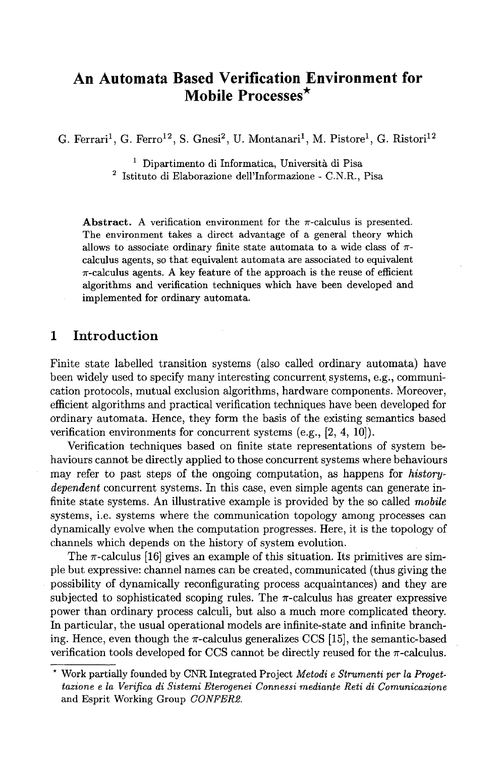# **An Automata Based Verification Environment for Mobile Processes\***

G. Ferrari<sup>1</sup>, G. Ferro<sup>12</sup>, S. Gnesi<sup>2</sup>, U. Montanari<sup>1</sup>, M. Pistore<sup>1</sup>, G. Ristori<sup>12</sup>

 $<sup>1</sup>$  Dipartimento di Informatica, Università di Pisa</sup>

<sup>2</sup> Istituto di Elaborazione dell'Informazione - C.N.R., Pisa

**Abstract.** A verification environment for the  $\pi$ -calculus is presented. The environment takes a direct advantage of a general theory which allows to associate ordinary finite state automata to a wide class of  $\pi$ calculus agents, so that equivalent automata are associated to equivalent  $\pi$ -calculus agents. A key feature of the approach is the reuse of efficient algorithms and verification techniques which have been developed and implemented for ordinary automata.

### **1 Introduction**

Finite state labelled transition systems (also called ordinary automata) have been widely used to specify many interesting concurrent systems, e.g., communication protocols, mutual exclusion algorithms, hardware components. Moreover, efficient algorithms and practical verification techniques have been developed for ordinary automata. Hence, they form the basis of the existing semantics based verification environments for concurrent systems (e.g., [2, 4, 10]).

Verification techniques based on finite state representations of system behaviours cannot be directly applied to those concurrent systems where behaviours may refer to past steps of the ongoing computation, as happens for *historydependent* concurrent systems. In this case, even simple agents can generate infinite state systems. An illustrative example is provided by the so called *mobile*  systems, i.e. systems where the communication topology among processes can dynamically evolve when the computation progresses. Here, it is the topology of channels which depends on the history of system evolution.

The  $\pi$ -calculus [16] gives an example of this situation. Its primitives are simple but expressive: channel names can be created, communicated (thus giving the possibility of dynamically reconfigurating process acquaintances) and they are subjected to sophisticated scoping rules. The  $\pi$ -calculus has greater expressive power than ordinary process calculi, but also a much more complicated theory. In particular, the usual operational models are infinite-state and infinite branching. Hence, even though the  $\pi$ -calculus generalizes CCS [15], the semantic-based verification tools developed for CCS cannot be directly reused for the  $\pi$ -calculus.

<sup>\*</sup> Work partially founded by CNR Integrated Project *Metodi e Strumenti per la Progettazione e la Verifica di Sistemi Eterogenei Connessi mediante Reti di Comunicazione*  and Esprit Working Group *CONFERP.*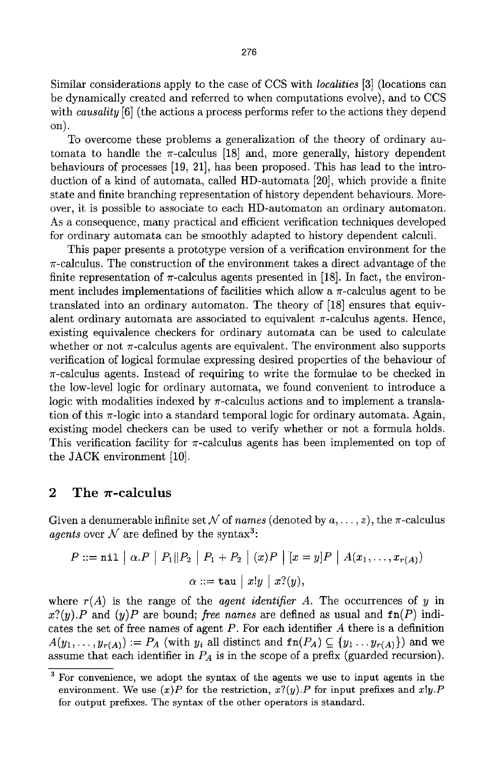Similar considerations apply to the case of CCS with *localities* [3] (locations can be dynamically created and referred to when computations evolve), and to CCS with *causality* [6] (the actions a process performs refer to the actions they depend on).

To overcome these problems a generalization of the theory of ordinary automata to handle the  $\pi$ -calculus [18] and, more generally, history dependent behaviours of processes [19, 21], has been proposed. This has lead to the introduction of a kind of automata, called HD-automata [20], which provide a finite state and finite branching representation of history dependent behaviours. Moreover, it is possible to associate to each HD-automaton an ordinary automaton. As a consequence, many practical and efficient verification techniques developed for ordinary automata can be smoothly adapted to history dependent calculi.

This paper presents a prototype version of a verification environment for the  $\pi$ -calculus. The construction of the environment takes a direct advantage of the finite representation of  $\pi$ -calculus agents presented in [18]. In fact, the environment includes implementations of facilities which allow a  $\pi$ -calculus agent to be translated into an ordinary automaton. The theory of [18] ensures that equivalent ordinary automata are associated to equivalent  $\pi$ -calculus agents. Hence, existing equivalence checkers for ordinary automata can be used to calculate whether or not  $\pi$ -calculus agents are equivalent. The environment also supports verification of logical formulae expressing desired properties of the behaviour of  $\pi$ -calculus agents. Instead of requiring to write the formulae to be checked in the low-level logic for ordinary automata, we found convenient to introduce a logic with modalities indexed by  $\pi$ -calculus actions and to implement a translation of this  $\pi$ -logic into a standard temporal logic for ordinary automata. Again, existing model checkers can be used to verify whether or not a formula holds. This verification facility for  $\pi$ -calculus agents has been implemented on top of the JACK environment [10].

#### 2 The  $\pi$ -calculus

Given a denumerable infinite set  $N$  of *names* (denoted by  $a, \ldots, z$ ), the  $\pi$ -calculus *agents* over  $N$  are defined by the syntax<sup>3</sup>:

$$
P ::= \texttt{nil} \mid \alpha.P \mid P_1 \Vert P_2 \mid P_1 + P_2 \mid (x)P \mid [x = y]P \mid A(x_1, \dots, x_{r(A)})
$$

$$
\alpha ::= \texttt{tau} \mid x!y \mid x?(y),
$$

where  $r(A)$  is the range of the *agent identifier A*. The occurrences of y in  $x?(\psi)$ . P and  $(\psi)$  P are bound; *free names* are defined as usual and  $fn(P)$  indicates the set of free names of agent  $P$ . For each identifier  $A$  there is a definition  $A(y_1,\ldots,y_{r(A)}) := P_A$  (with  $y_i$  all distinct and  $fn(P_A) \subseteq {y_1 \ldots y_{r(A)}}$ ) and we assume that each identifier in *PA* is in the scope of a prefix (guarded recursion).

<sup>&</sup>lt;sup>3</sup> For convenience, we adopt the syntax of the agents we use to input agents in the environment. We use  $(x)P$  for the restriction,  $x?(y)$ . P for input prefixes and  $x!y$ . P for output prefixes. The syntax of the other operators is standard.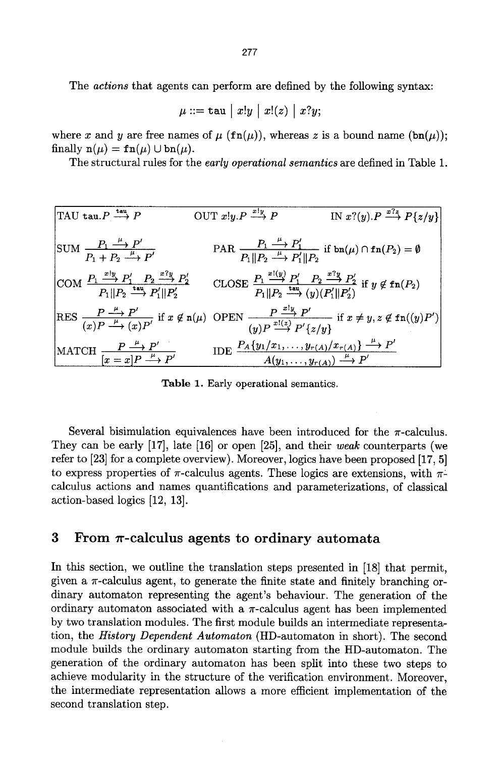The *actions* that agents can perform are defined by the following syntax:

$$
\mu ::= \mathtt{tau} \mid x!y \mid x!(z) \mid x?y;
$$

where x and y are free names of  $\mu$  (fn( $\mu$ )), whereas z is a bound name (bn( $\mu$ )); finally  $n(\mu) = \text{fn}(\mu) \cup \text{bn}(\mu)$ .

The structural rules for the *early operational semantics* are defined in Table 1.

TAU tau.P 
$$
\xrightarrow{\tan} P
$$
  
\nOUT x!y.P  $\xrightarrow{x|y}$  P IN x?(y).P  $\xrightarrow{x|z}$  P {z/y}  
\n  
\nSUM  $\frac{P_1 \xrightarrow{\mu} P'}{P_1 + P_2 \xrightarrow{\mu} P'}$   
\n $PAR$   $\frac{P_1 \xrightarrow{\mu} P'_1}{P_1 || P_2 \xrightarrow{\mu} P'_1 || P_2}$  if  $bn(\mu) \cap fn(P_2) = \emptyset$   
\n  
\nCOM  $\frac{P_1 \xrightarrow{x|y} P'_1}{P_1 || P_2 \xrightarrow{\tan} P'_1 || P'_2}$   
\n $P_2 \xrightarrow{r} P'_2$   
\n $P_1 || P_2 \xrightarrow{\tan} (y) (P'_1 || P'_2)$   
\n  
\nRES  $\frac{P \xrightarrow{\mu} P'}{(x)P \xrightarrow{\mu} (x)P'}$  if  $x \notin n(\mu)$  OPEN  $\frac{P \xrightarrow{x|y} P'}{(y)P \xrightarrow{x|z}} (y) (P'_1 || P'_2)$   
\nif  $x \neq y, z \notin fn((y)P')$   
\n  
\nMATCH  $\frac{P \xrightarrow{\mu} P'}{[x = x]P \xrightarrow{\mu} P'}$   
\n $IDE$   $\frac{P_A(y_1/x_1, \ldots, y_{r(A)}) x_{r(A)} \xrightarrow{\mu} P'}{A(y_1, \ldots, y_{r(A)}) \xrightarrow{\mu} P'}$ 

Table 1. Early operational semantics.

Several bisimulation equivalences have been introduced for the  $\pi$ -calculus. They can be early [17], late [16] or open [25], and their *weak* counterparts (we refer to [23] for a complete overview). Moreover, logics have been proposed [17, 5] to express properties of  $\pi$ -calculus agents. These logics are extensions, with  $\pi$ calculus actions and names quantifications and parameterizations, of classical action-based logics [12, 13].

### **3** From  $\pi$ -calculus agents to ordinary automata

In this section, we outline the translation steps presented in [18] that permit, given a  $\pi$ -calculus agent, to generate the finite state and finitely branching ordinary automaton representing the agent's behaviour. The generation of the ordinary automaton associated with a  $\pi$ -calculus agent has been implemented by two translation modules. The first module builds an intermediate representation, the *History Dependent Automaton* (HD-antomaton in short). The second module builds the ordinary automaton starting from the HD-automaton. The generation of the ordinary automaton has been split into these two steps to achieve modularity in the structure of the verification environment. Moreover, the intermediate representation allows a more efficient implementation of the second translation step.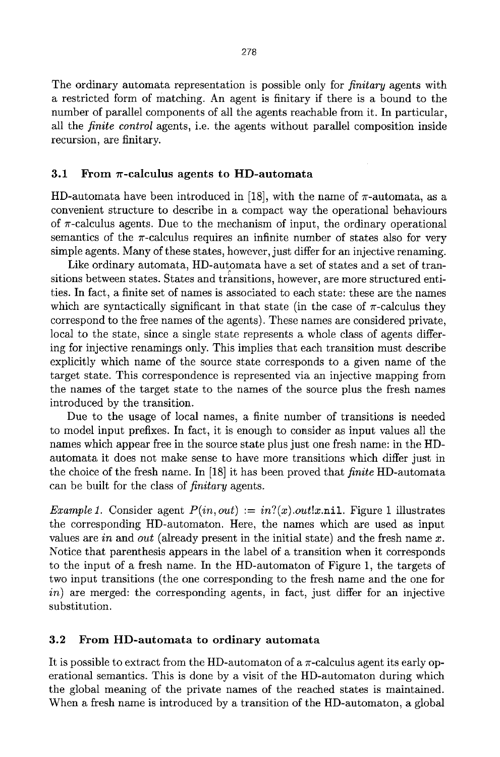The ordinary automata representation is possible only for *finitary* agents with a restricted form of matching. An agent is finitary if there is a bound to the number of parallel components of all the agents reachable from it. In particular, all the *finite control* agents, i.e. the agents without parallel composition inside recursion, are finitary.

#### 3.1 From  $\pi$ -calculus agents to HD-automata

HD-automata have been introduced in [18], with the name of  $\pi$ -automata, as a convenient structure to describe in a compact way the operational behaviours of  $\pi$ -calculus agents. Due to the mechanism of input, the ordinary operational semantics of the  $\pi$ -calculus requires an infinite number of states also for very simple agents. Many of these states, however, just differ for an injective renaming.

Like ordinary automata, HD-automata have a set of states and a set of transitions between states. States and transitions, however, are more structured entities. In fact, a finite set of names is associated to each state: these are the names which are syntactically significant in that state (in the case of  $\pi$ -calculus they correspond to the free names of the agents). These names are considered private, local to the state, since a single state represents a whole class of agents differing for injective renamings only. This implies that each transition must describe explicitly which name of the source state corresponds to a given name of the target state. This correspondence is represented via an injective mapping from the names of the target state to the names of the source plus the fresh names introduced by the transition.

Due to the usage of local names, a finite number of transitions is needed to model input prefixes. In fact, it is enough to consider as input values all the names which appear free in the source state plus just one fresh name: in the HDautomata it does not make sense to have more transitions which differ just in the choice of the fresh name. In [18] it has been proved that *finite* HD-automata can be built for the class of *finitary* agents.

*Example 1.* Consider agent  $P(in, out) := in?(x)$ .*out!x.nil.* Figure 1 illustrates the corresponding HD-automaton. Here, the names which are used as input values are *in* and *out* (already present in the initial state) and the fresh name x. Notice that parenthesis appears in the label of a transition when it corresponds to the input of a fresh name. In the HD-automaton of Figure 1, the targets of two input transitions (the one corresponding to the fresh name and the one for *in)* are merged: the corresponding agents, in fact, just differ for an injective substitution.

#### 3.2 From **HD-automata to ordinary automata**

It is possible to extract from the HD-automaton of a  $\pi$ -calculus agent its early operational semantics. This is done by a visit of the HD-automaton during which the global meaning of the private names of the reached states is maintained. When a fresh name is introduced by a transition of the HD-automaton, a global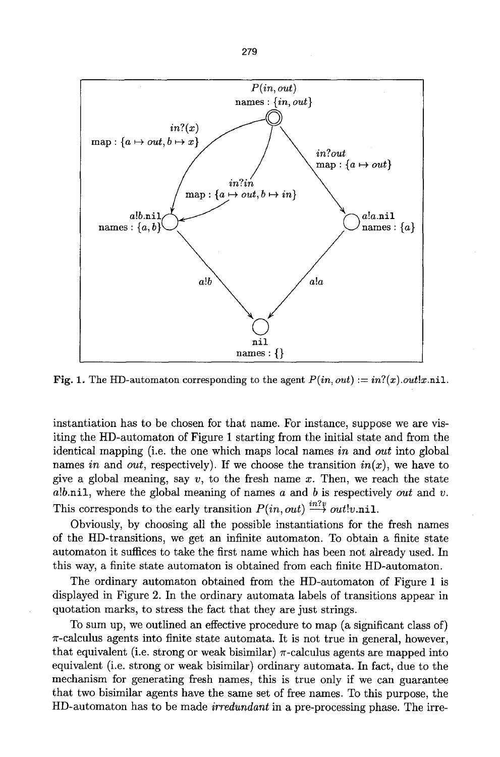

Fig. 1. The HD-automaton corresponding to the agent  $P(in, out) := in?(x).out!x.nil.$ 

instantiation has to be chosen for that name. For instance, suppose we are visiting the HD-automaton of Figure 1 starting from the initial state and from the identical mapping (i.e. the one which maps local names *in* and *out* into global names *in* and *out*, respectively). If we choose the transition  $in(x)$ , we have to give a global meaning, say  $v$ , to the fresh name x. Then, we reach the state a!b.nil, where the global meaning of names a and b is respectively *out* and v. This corresponds to the early transition  $P(in, out) \stackrel{in?v}{\longrightarrow} out!v.\texttt{nil}.$ 

Obviously, by choosing all the possible instantiations for the fresh names of the HD-transitions, we get an infinite automaton. To obtain a finite state automaton it suffices to take the first name which has been not already used. In this way, a finite state automaton is obtained from each finite HD-automaton.

The ordinary automaton obtained from the HD-automaton of Figure 1 is displayed in Figure 2. In the ordinary automata labels of transitions appear in quotation marks, to stress the fact that they are just strings.

To sum up, we outlined an effective procedure to map (a significant class of)  $\pi$ -calculus agents into finite state automata. It is not true in general, however, that equivalent (i.e. strong or weak bisimilar)  $\pi$ -calculus agents are mapped into equivalent (i.e. strong or weak bisimilar) ordinary automata. In fact, due to the mechanism for generating fresh names, this is true only if we can guarantee that two bisimilar agents have the same set of free names. To this purpose, the HD-automaton has to be made *irredundant* in a pre-processing phase. The irre-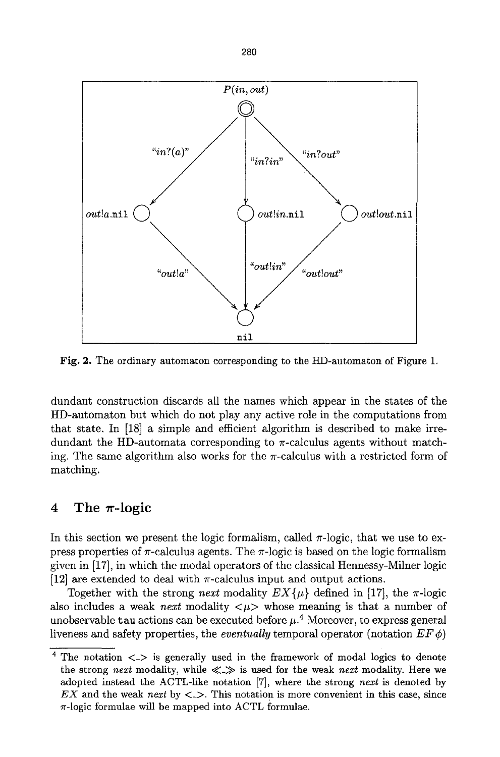

Fig. 2. The ordinary automaton corresponding to the HD-automaton of Figure 1.

dundant construction discards all the names which appear in the states of the HD-automaton but which do not play any active role in the computations from that state. In [18] a simple and efficient algorithm is described to make irredundant the HD-automata corresponding to  $\pi$ -calculus agents without matching. The same algorithm also works for the  $\pi$ -calculus with a restricted form of matching.

#### **4** The  $\pi$ -logic

In this section we present the logic formalism, called  $\pi$ -logic, that we use to express properties of  $\pi$ -calculus agents. The  $\pi$ -logic is based on the logic formalism given in [17], in which the modal operators of the classical Hennessy-Milner logic [12] are extended to deal with  $\pi$ -calculus input and output actions.

Together with the strong *next* modality  $EX\{\mu\}$  defined in [17], the  $\pi$ -logic also includes a weak *next* modality  $\langle \mu \rangle$  whose meaning is that a number of unobservable tau actions can be executed before  $\mu$ .<sup>4</sup> Moreover, to express general liveness and safety properties, the *eventually* temporal operator (notation  $EF \phi$ )

 $4$  The notation  $\langle - \rangle$  is generally used in the framework of modal logics to denote the strong *next* modality, while  $\ll \gg$  is used for the weak *next* modality. Here we adopted instead the ACTL-like notation [7], where the strong *next* is denoted by *EX* and the weak *next* by  $\lt\gt$ . This notation is more convenient in this case, since  $\pi$ -logic formulae will be mapped into ACTL formulae.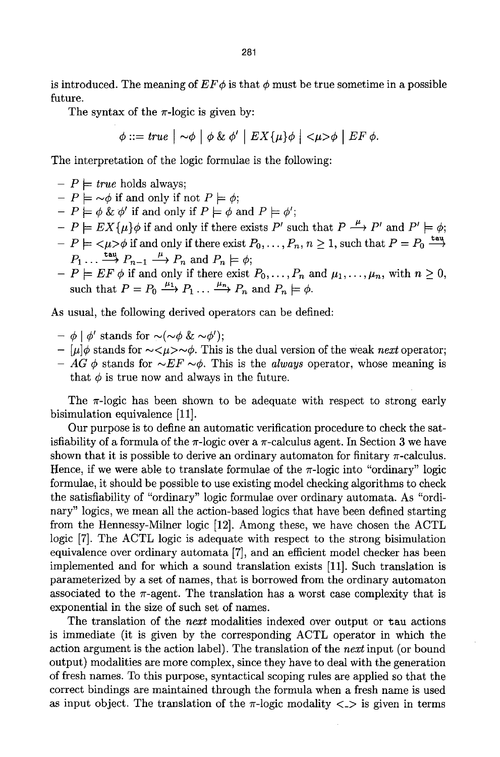is introduced. The meaning of  $EF\phi$  is that  $\phi$  must be true sometime in a possible future.

The syntax of the  $\pi$ -logic is given by:

 $\phi ::= true \mid \neg \phi \mid \phi \& \phi' \mid EX\{\mu\}\phi \mid \langle \mu \rangle \phi \mid EF \phi.$ 

The interpretation of the logic formulae is the following:

- $-P \models true$  holds always:  $-P \models \sim \phi$  if and only if not  $P \models \phi$ ;  $-P \models \phi \& \phi'$  if and only if  $P \models \phi$  and  $P \models \phi'$ ;  $-P \models EX{\{\mu\}}\phi$  if and only if there exists P' such that  $P \stackrel{\mu}{\longrightarrow} P'$  and  $P' \models \phi$ ;  $-P \models \langle \mu \rangle \phi$  if and only if there exist  $P_0, \ldots, P_n, n \geq 1$ , such that  $P = P_0 \stackrel{\text{tau}}{\rightarrow}$  $P_1 \ldots \stackrel{\text{tau}}{\longrightarrow} P_{n-1} \stackrel{\mu}{\longrightarrow} P_n$  and  $P_n \models \phi;$
- $-P = EF \phi$  if and only if there exist  $P_0,\ldots,P_n$  and  $\mu_1,\ldots,\mu_n$ , with  $n \geq 0$ , such that  $P=P_0 \stackrel{\mu_1}{\longrightarrow} P_1 \dots \stackrel{\mu_n}{\longrightarrow} P_n$  and  $P_n \models \phi$ .

As usual, the following derived operators can be defined:

- $\phi$  |  $\phi'$  stands for  $\sim$ ( $\sim$  $\phi$  &  $\sim$  $\phi'$ );
- $-$  [ $\mu$ ] $\phi$  stands for  $\sim <\mu> \sim \phi$ . This is the dual version of the weak *next* operator;
- *AG*  $\phi$  stands for  $\sim$ *EF*  $\sim$  $\phi$ . This is the *always* operator, whose meaning is that  $\phi$  is true now and always in the future.

The  $\pi$ -logic has been shown to be adequate with respect to strong early bisimulation equivalence [11].

Our purpose is to define an automatic verification procedure to check the satisfiability of a formula of the  $\pi$ -logic over a  $\pi$ -calculus agent. In Section 3 we have shown that it is possible to derive an ordinary automaton for finitary  $\pi$ -calculus. Hence, if we were able to translate formulae of the  $\pi$ -logic into "ordinary" logic formulae, it should be possible to use existing model checking algorithms to check the satisfiability of "ordinary" logic formulae over ordinary automata. As "ordinary" logics, we mean all the action-based logics that have been defned starting from the Hennessy-Milner logic [12]. Among these, we have chosen the ACTL logic [7]. The ACTL logic is adequate with respect to the strong bisimulation equivalence over ordinary automata [7], and an efficient model checker has been implemented and for which a sound translation exists [11]. Such translation is parameterized by a set of names, that is borrowed from the ordinary automaton associated to the  $\pi$ -agent. The translation has a worst case complexity that is exponential in the size of such set of names.

The translation of the *next* modalities indexed over output or tau actions is immediate (it is given by the corresponding ACTL operator in which the action argument is the action label). The translation of the *next* input (or bound output) modalities are more complex, since they have to deal with the generation of fresh names. To this purpose, syntactical scoping rules are applied so that the correct bindings are maintained through the formula when a fresh name is used as input object. The translation of the  $\pi$ -logic modality  $\langle \rangle$  is given in terms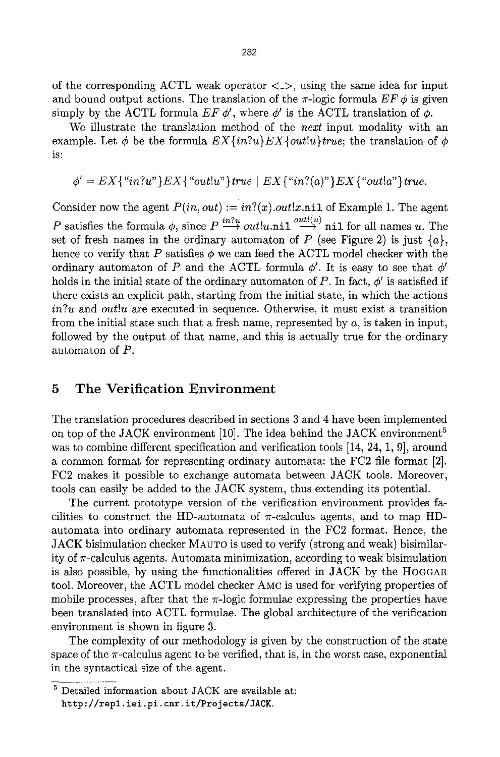of the corresponding ACTL weak operator  $\langle \rangle$ , using the same idea for input and bound output actions. The translation of the  $\pi$ -logic formula  $EF \phi$  is given simply by the ACTL formula  $EF \phi'$ , where  $\phi'$  is the ACTL translation of  $\phi$ .

We illustrate the translation method of the *next* input modality with an example. Let  $\phi$  be the formula  $EX\{in?u\}EX\{out!u\}true$ ; the translation of  $\phi$ is:

$$
\phi' = EX\{``in?u"\}EX\{``out!u"\}true \mid EX\{``in?(a)"\}EX\{``out!a"\}true.
$$

Consider now the agent  $P(in, out) := in?(x) . out!x .$ nil of Example 1. The agent P satisfies the formula  $\phi$ , since  $P \stackrel{in?u}{\longrightarrow} out!u.ni1 \stackrel{out!(u)}{\longrightarrow} nii1$  for all names u. The set of fresh names in the ordinary automaton of  $P$  (see Figure 2) is just  $\{a\}$ , hence to verify that P satisfies  $\phi$  we can feed the ACTL model checker with the ordinary automaton of P and the ACTL formula  $\phi'$ . It is easy to see that  $\phi'$ holds in the initial state of the ordinary automaton of P. In fact,  $\phi'$  is satisfied if there exists an explicit path, starting from the initial state, in which the actions *in?u* and *out!u* are executed in sequence. Otherwise, it must exist a transition from the initial state such that a fresh name, represented by  $a$ , is taken in input, followed by the output of that name, and this is actually true for the ordinary automaton of P.

### 5 The Verification Environment

The translation procedures described in sections 3 and 4 have been implemented on top of the JACK environment [10]. The idea behind the JACK environment<sup>5</sup> was to combine different specification and verification tools [14, 24, 1, 9], around a common format for representing ordinary automata: the FC2 file format [2]. FC2 makes it possible to exchange automata between JACK tools. Moreover, tools can easily be added to the JACK system, thus extending its potential.

The current prototype version of the verification environment provides facilities to construct the HD-automata of  $\pi$ -calculus agents, and to map HDautomata into ordinary automata represented in the FC2 format. Hence, the JACK bisimulation checker MAUTO is used to verify (strong and weak) bisimilarity of  $\pi$ -calculus agents. Automata minimization, according to weak bisimulation is also possible, by using the functionalities offered in JACK by the HOGGAR tool. Moreover, the ACTL model checker AMC is used for verifying properties of mobile processes, after that the  $\pi$ -logic formulae expressing the properties have been translated into ACTL formulae. The global architecture of the verification environment is shown in figure 3.

The complexity of our methodology is given by the construction of the state space of the  $\pi$ -calculus agent to be verified, that is, in the worst case, exponential in the syntactical size of the agent.

 $^5$  Detailed information about JACK are available at: http://rep1.iei.pi.cnr.it/Projects/JACK.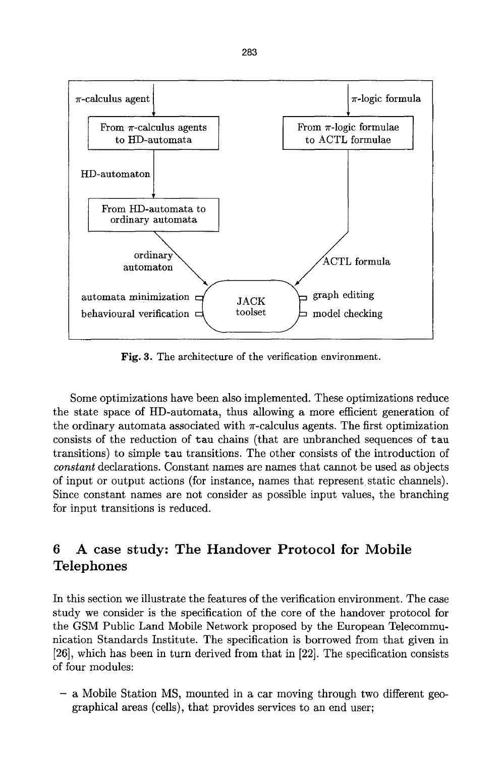

Fig. 3. The architecture of the verification environment.

Some optimizations have been also implemented. These optimizations reduce the state space of HD-automata, thus allowing a more efficient generation of the ordinary automata associated with  $\pi$ -calculus agents. The first optimization consists of the reduction of tau chains (that are unbranched sequences of tau transitions) to simple tau transitions. The other consists of the introduction of *constant* declarations. Constant names are names that cannot be used as objects of input or output actions (for instance, names that represent static channels). Since constant names are not consider as possible input values, the branching for input transitions is reduced.

## **6 A case study: The Handover Protocol for Mobile Telephones**

In this section we illustrate the features of the verification environment. The case study we consider is the specification of the core of the handover protocol for the GSM Public Land Mobile Network proposed by the European Telecommunication Standards Institute. The specification is borrowed from that given in [26], which has been in turn derived from that in [22]. The specification consists of four modules:

- a Mobile Station MS, mounted in a car moving through two different geographical areas (cells), that provides services to an end user;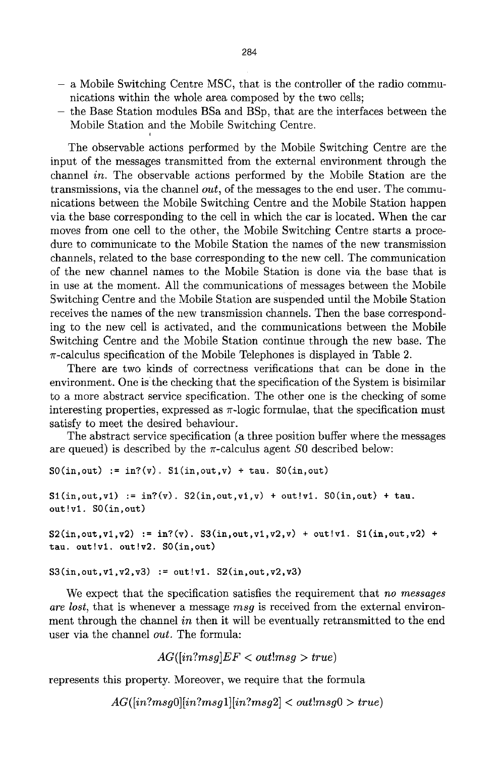- a Mobile Switching Centre MSC, that is the controller of the radio communications within the whole area composed by the two cells;
- the Base Station modules BSa and BSp, that are the interfaces between the Mobile Station and the Mobile Switching Centre.

The observable actions performed by the Mobile Switching Centre are the input of the messages transmitted from the external environment through the channel *in.* The observable actions performed by the Mobile Station are the transmissions, via the channel *out,* of the messages to the end user. The communications between the Mobile Switching Centre and the Mobile Station happen via the base corresponding to the cell in which the car is located. When the car moves from one cell to the other, the Mobile Switching Centre starts a procedure to communicate to the Mobile Station the names of the new transmission channels, related to the base corresponding to the new cell. The communication of the new channel names to the Mobile Station is done via the base that is in use at the moment. All the communications of messages between the Mobile Switching Centre and the Mobile Station are suspended until the Mobile Station receives the names of the new transmission channels. Then the base corresponding to the new cell is activated, and the communications between the Mobile Switching Centre and the Mobile Station continue through the new base. The  $\pi$ -calculus specification of the Mobile Telephones is displayed in Table 2.

There are two kinds of correctness verifications that can be done in the environment. One is the checking that the specification of the System is bisimilar to a more abstract service specification. The other one is the checking of some interesting properties, expressed as  $\pi$ -logic formulae, that the specification must satisfy to meet the desired behaviour.

The abstract service specification (a three position buffer where the messages are queued) is described by the  $\pi$ -calculus agent S0 described below:

```
S0(in,out) := in?(<i>v</i>). S1(in,out,v) + tau. S0(in,out)S1(in,out,v1) := in?(<i>v</i>). S2(in,out,v1,v) + out!v1. S0(in,out) + tau.
out!vl. SO(in,out) 
S2(in,out,v1,v2) := in?(<i>v</i>). S3(in,out,v1,v2,v) + out!v1. S1(in,out,v2) +tau. out!v1, out!v2. SO(in,out)
```

```
S3(in,out,v1,v2,v3) := out!v1. S2(in,out,v2,v3)
```
We expect that the specification satisfies the requirement that *no messages are lost,* that is whenever a message *msg* is received from the external environment through the channel *in* then it will be eventually retransmitted to the end user via the channel *out.* The formula:

```
AG([in?msg]EF < out!msg > true)
```
represents this property. Moreover, we require that the formula

 $AG([in?msg0][in?msg1][in?msg2] < out!msg0 > true)$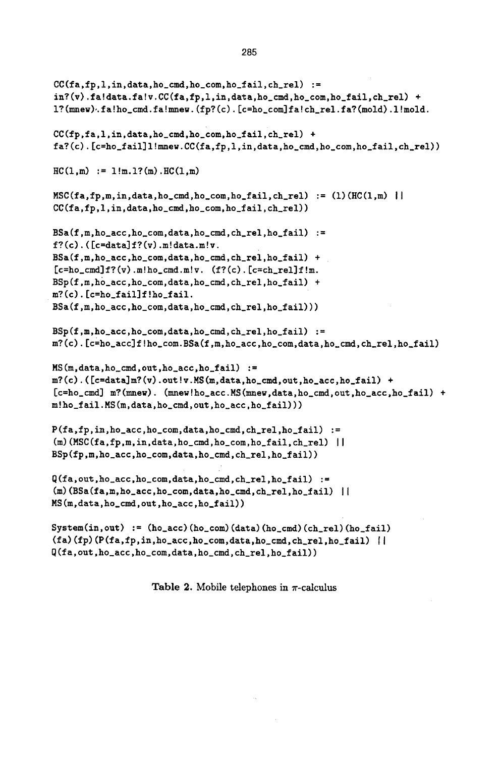```
CC(fa,fp,1,in,data,ho\_cmd,ho\_com,ho\_fail,ch\_rel) :=
in?(v).fa!data.fa!v.CC(fa,fp,l,in,data,ho_cmd,ho_com,ho_fail,ch_rel) +
l?(mnew)..fa!ho_cmd.fa!mnew.(fp?(c). [c=ho_com]fa!ch_rel.fa?(mold).l!mold. 
CC(f<sub>p</sub>,fa,1,in,data,ho\_cmd,ho\_com,ho\_fail,ch\_rel) +fa?(c).[c=ho_fail]l!mnew.CC(fa,fp,l,in,data,ho_cmd,ho_com,ho_fail,ch_rel)) 
HC(1,m) := 1!m.1?(m).HC(1,m)MSC(fa, fp, m, in, data, ho\_cmd, ho\_com, ho_fail, ch_rel) := (1)(HC(1,m) |CC(fa,fp,l,in,data,ho_cmd,ho_com,ho_fail,ch_rel)) 
BSa(f,m,ho\_acc,ho\_com,data,ho\_cmd,ch\_rel,ho\_fail) :=
f?(c).([c=data]f?(v).m!data.m!v.
BSa(f,m,ho_acc,ho_com,data,ho_cmd,ch_rel,ho_fail) + 
[c=ho\_cmd]f?(v) .m!ho\_cmd.m!v. (f?(c) .[c=ch\_rel]f!m.BSp(f,m,ho_acc,ho_ccom,data,ho_cmd,ch_rel,ho_fail) +
m?(c).[c=ho_fail]f!ho_fail.
BSa(f,m,ho_acc,ho_com,data,ho_cmd,ch_rel,ho_fail))) 
BSp(f,m,ho\_acc,ho\_com, data,ho\_cmd,ch\_rel,ho\_fail) :=
m?(c).[c=ho_acc]flho_com.BSa(f,m,ho_acc,ho_com,data,ho_cmd,ch_rel,ho_fail) 
MS(m,data,ho_cmd,out,ho_acc,ho_fail) := 
m?(c).([c=data]m?(v).out!v.MS(m,data,ho_cmd,out,ho_acc,ho_fail) +
[c=ho_cmd] m?(mnew). (mnev!ho_acc.MS(mnew,data,ho_cmd,out,ho_acc,ho_fail) + 
m!ho_fail.MS(m,data,ho_cmd,out,ho_acc,ho_fail))) 
P(fa,fp,in,ho_acc,ho_com,data,ho_cmd,ch_rel,ho_fail) := 
(m)(MSC(fa,fp,m,in,data,ho_cmd,ho_com,ho_fail,ch_rel) ||
BSp(fp,m,ho_acc,ho_com,data,ho_cmd,ch_rel,ho_fail)) 
Q(fa, out, ho_acc, ho_com, data, ho_cmd, ch_rel, ho_fail) :=
(m)(BSa(fa,m,ho\_acc,ho\_com,data,ho\_cmd,ch\_rel,ho\_fail) |
MS(m~data,ho_cmd,out,ho_acc,ho_fail)) 
System(in,out) := (ho_acc)(ho_com)(data)(ho_cmd)(ch_rel)(ho_fail) 
(fa)(fp)(P(fa,fp,in,ho\_acc,ho\_com,data,ho\_cmd,ch\_rel,ho_fail) ||
```

```
Q(fa,out,ho_acc,ho_com,data,ho_cmd,ch_rel,ho_fail))
```
Table 2. Mobile telephones in  $\pi$ -calculus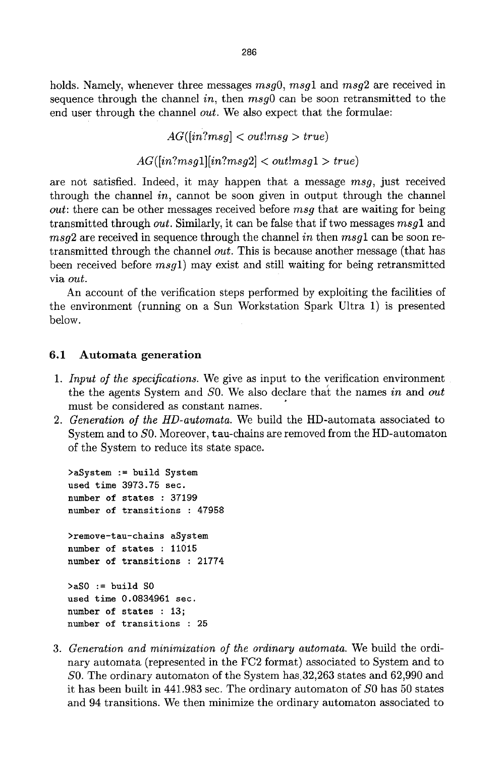holds. Namely, whenever three messages  $msg0$ ,  $msg1$  and  $msg2$  are received in sequence through the channel *in,* then *msgO* can be soon retransmitted to the end user through the channel *out.* We also expect that the formulae:

> *AG([in?msg] < out!msg > true)*   $AG(\{in?msa1|[\{in?msa2]} < out!msa1 > true))$

are not satisfied. Indeed, it may happen that a message *msg,* just received through the channel *in,* cannot be soon given in output through the channel *out:* there can be other messages received before *msg* that are waiting for being transmitted through *out.* Similarly, it can be false that if two messages *msgl* and *msg2* are received in sequence through the channel *in* then *msg1* can be soon retransmitted through the channel *out.* This is because another message (that has been received before *msgl)* may exist and still waiting for being retransmitted via *out.* 

An account of the verification steps performed by exploiting the facilities of the environment (running on a Sun Workstation Spark Ultra 1) is presented below.

#### 6.1 Automata generation

- *1. Input o/the specifications.* We give as input to the verification environment / the the agents System and SO. We also declare that the names *in* and *out*  must be considered as constant names.
- 2. Generation of the HD-automata. We build the HD-automata associated to System and to SO. Moreover, tau-chains are removed from the HD-automaton of the System to reduce its state space.

```
>aSystem := build System 
used time 3973.75 sec. 
number of states : 37199 
number of transitions : 47958 
>remove-tau-chains aSystem 
number of states : 11015 
number of transitions : 21774 
>\a50 := \text{build }S0used time 0.0834961 sec. 
number of states : 13; 
number of transitions : 25
```
. *Generation and minimization o/the ordinary automata.* We build the ordinary automata (represented in the FC2 format) associated to System and to SO. The ordinary automaton of the System has.32,263 states and 62,990 and it has been built in 441.983 sec. The ordinary automaton of SO has 50 states and 94 transitions. We then minimize the ordinary automaton associated to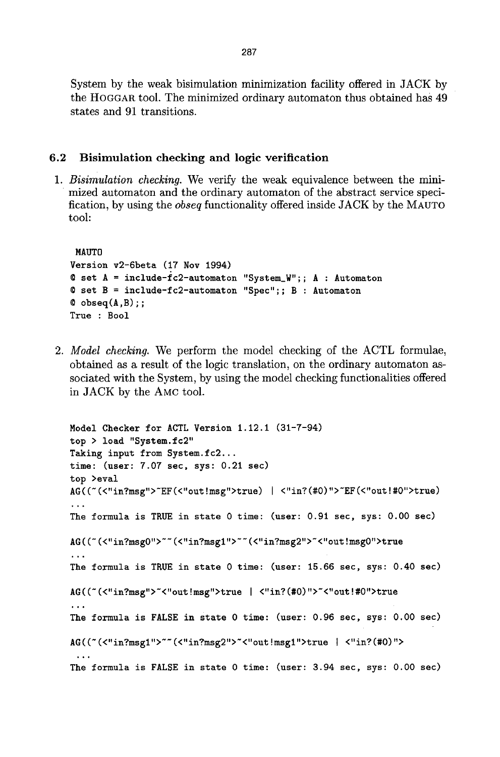System by the weak bisimulation minimization facility offered in JACK by the HOGGAR too1. The minimized ordinary automaton thus obtained has 49 states and 91 transitions.

#### 6.2 Bisimulation checking and logic verification

*1. Bisimulation checking.* We verify the weak equivalence between the minimized automaton and the ordinary automaton of the abstract service specification, by using the *obseq* functionality offered inside JACK by the MAUTO tool:

```
MAUTO
Version v2-6beta (17 Nov 1994) 
@ set A = include-fc2-automaton "System_W";; A : Automaton 
@ set B = include-fc2-automaton "Spec";; B : Automaton 
Q obseq(A, B):
True : Bool
```
*2. Model checking.* We perform the model checking of the ACTL formulae, obtained as a result of the logic translation, on the ordinary automaton associated with the System, by using the model checking functionalities offered in JACK by the AMC tool.

```
Model Checker for ACTL Version 1.12.1 (31-7-94) 
top > load "System.fc2" 
Taking input from System.fc2...
time: (user: 7.07 sec, sys: 0.21 sec) 
top >eval 
AG((~ (<"in7msg">~EF(<"out Imsg">true) ) <"in? (#0) ">~EF (<"out I#O">true) 
.,. 
The formula is TRUE in state 0 time: (user: 0.91 sec, sys: 0.00 sec) 
AG ( (~ (<"in?msgO"> ~~ (<"in?msgl"> ~~ (<"in?msg2">~<"out !msgO">true 
The formula is TRUE in state 0 time: (user: 15.66 sec, sys: 0.40 sec) 
AG((~ (<"in?msg">~<"out !msg">true I <"in? (#0) ">~<"out !#O">true 
\cdot \cdotThe formula is FALSE in state 0 time: (user: 0.96 sec, sys: 0.00 sec) 
AG ((~ (<"in?msgl"> ~~ (<"in?msg2">~<"out !msgl">true I <"in? (#0)"> 
 ~176 
The formula is FALSE in state 0 time: (user: 3.94 sec, sys: 0.00 sec)
```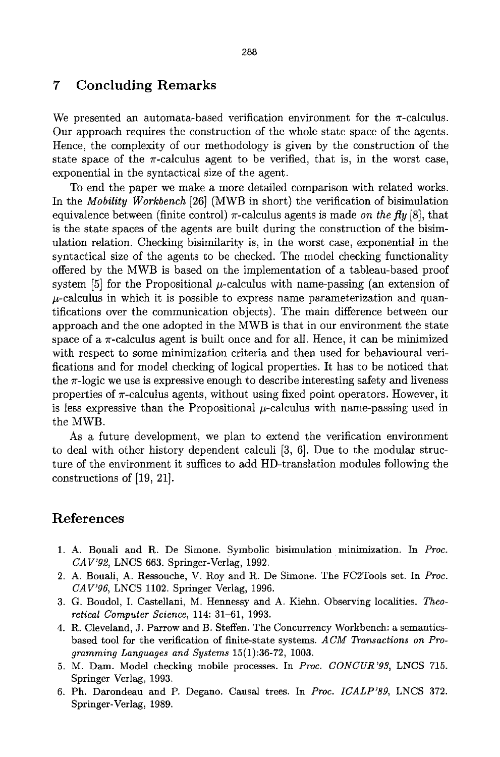### **7 Concluding Remarks**

We presented an automata-based verification environment for the  $\pi$ -calculus. Our approach requires the construction of the whole state space of the agents. Hence, the complexity of our methodology is given by the construction of the state space of the  $\pi$ -calculus agent to be verified, that is, in the worst case, exponential in the syntactical size of the agent.

To end the paper we make a more detailed comparison with related works. In the *Mobility Workbench* [26] (MWB in short) the verification of bisimulation equivalence between (finite control)  $\pi$ -calculus agents is made *on the fly* [8], that is the state spaces of the agents are built during the construction of the bisimulation relation. Checking bisimilarity is, in the worst case, exponential in the syntactical size of the agents to be checked. The model checking functionality offered by the MWB is based on the implementation of a tableau-based proof system [5] for the Propositional  $\mu$ -calculus with name-passing (an extension of  $\mu$ -calculus in which it is possible to express name parameterization and quantifications over the communication objects). The main difference between our approach and the one adopted in the MWB is that in our environment the state space of a  $\pi$ -calculus agent is built once and for all. Hence, it can be minimized with respect to some minimization criteria and then used for behavioural verifications and for model checking of logical properties. It has to be noticed that the  $\pi$ -logic we use is expressive enough to describe interesting safety and liveness properties of  $\pi$ -calculus agents, without using fixed point operators. However, it is less expressive than the Propositional  $\mu$ -calculus with name-passing used in the MWB.

As a future development, we plan to extend the verification environment to deal with other history dependent calculi [3, 6]. Due to the modular structure of the environment it suffices to add HD-translation modules following the constructions of [19, 21].

### **References**

- 1. A. Bouali and R. De Simone. Symbolic bisimulation minimization. In *Proc. CAV'g2,* LNCS 663. Springer-Verlag, 1992.
- 2. A. Bouali, A. Ressouche, V. Roy and R. De Simone. The FC2Tools set. In *Proc. CAV'96,* LNCS 1102. Springer Verlag, 1996.
- 3. G. Boudol, I. Castellani, M. Hennessy and A. Kiehn. Observing localities. *Theoretical Computer Science,* 114: 31-61, 1993.
- 4. R. Cleveland, J. Parrow and B. Steffen. The Concurrency Workbench: a semanticsbased tool for the verification of finite-state systems. *ACM Transactions on Programming Languages and Systems* 15(1):36-72, 1003.
- 5. M. Dam. Model checking mobile processes. In *Proc. CONCUR'93,* LNCS 715. Springer Verlag, 1993.
- 6. Ph. Darondeau and P. Degano. Causal trees. In *Proc. ICALP'89,* LNCS 372. Springer-Verlag, 1989.